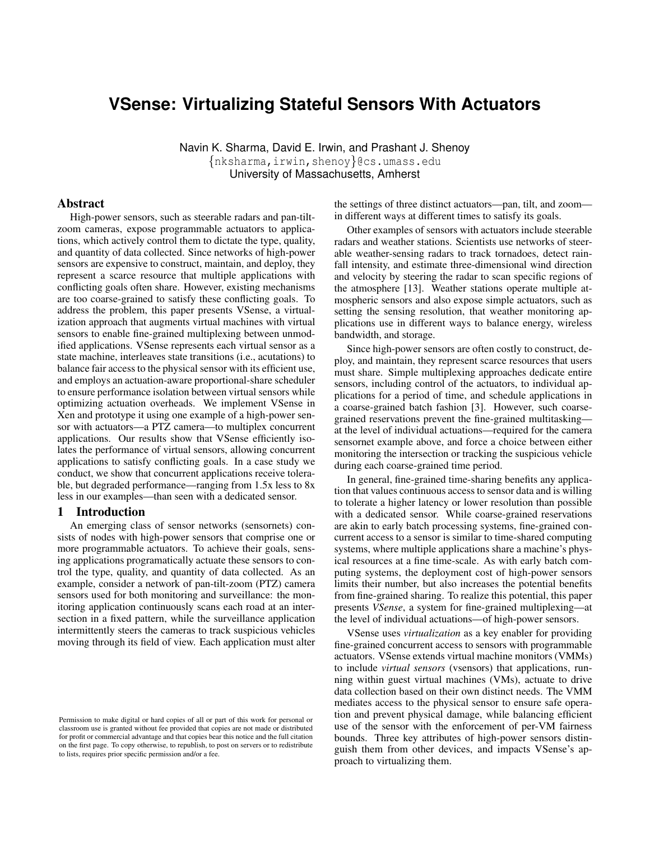# **VSense: Virtualizing Stateful Sensors With Actuators**

Navin K. Sharma, David E. Irwin, and Prashant J. Shenoy {nksharma,irwin,shenoy}@cs.umass.edu University of Massachusetts, Amherst

## Abstract

High-power sensors, such as steerable radars and pan-tiltzoom cameras, expose programmable actuators to applications, which actively control them to dictate the type, quality, and quantity of data collected. Since networks of high-power sensors are expensive to construct, maintain, and deploy, they represent a scarce resource that multiple applications with conflicting goals often share. However, existing mechanisms are too coarse-grained to satisfy these conflicting goals. To address the problem, this paper presents VSense, a virtualization approach that augments virtual machines with virtual sensors to enable fine-grained multiplexing between unmodified applications. VSense represents each virtual sensor as a state machine, interleaves state transitions (i.e., acutations) to balance fair access to the physical sensor with its efficient use, and employs an actuation-aware proportional-share scheduler to ensure performance isolation between virtual sensors while optimizing actuation overheads. We implement VSense in Xen and prototype it using one example of a high-power sensor with actuators—a PTZ camera—to multiplex concurrent applications. Our results show that VSense efficiently isolates the performance of virtual sensors, allowing concurrent applications to satisfy conflicting goals. In a case study we conduct, we show that concurrent applications receive tolerable, but degraded performance—ranging from 1.5x less to 8x less in our examples—than seen with a dedicated sensor.

#### 1 Introduction

An emerging class of sensor networks (sensornets) consists of nodes with high-power sensors that comprise one or more programmable actuators. To achieve their goals, sensing applications programatically actuate these sensors to control the type, quality, and quantity of data collected. As an example, consider a network of pan-tilt-zoom (PTZ) camera sensors used for both monitoring and surveillance: the monitoring application continuously scans each road at an intersection in a fixed pattern, while the surveillance application intermittently steers the cameras to track suspicious vehicles moving through its field of view. Each application must alter the settings of three distinct actuators—pan, tilt, and zoom in different ways at different times to satisfy its goals.

Other examples of sensors with actuators include steerable radars and weather stations. Scientists use networks of steerable weather-sensing radars to track tornadoes, detect rainfall intensity, and estimate three-dimensional wind direction and velocity by steering the radar to scan specific regions of the atmosphere [13]. Weather stations operate multiple atmospheric sensors and also expose simple actuators, such as setting the sensing resolution, that weather monitoring applications use in different ways to balance energy, wireless bandwidth, and storage.

Since high-power sensors are often costly to construct, deploy, and maintain, they represent scarce resources that users must share. Simple multiplexing approaches dedicate entire sensors, including control of the actuators, to individual applications for a period of time, and schedule applications in a coarse-grained batch fashion [3]. However, such coarsegrained reservations prevent the fine-grained multitasking at the level of individual actuations—required for the camera sensornet example above, and force a choice between either monitoring the intersection or tracking the suspicious vehicle during each coarse-grained time period.

In general, fine-grained time-sharing benefits any application that values continuous access to sensor data and is willing to tolerate a higher latency or lower resolution than possible with a dedicated sensor. While coarse-grained reservations are akin to early batch processing systems, fine-grained concurrent access to a sensor is similar to time-shared computing systems, where multiple applications share a machine's physical resources at a fine time-scale. As with early batch computing systems, the deployment cost of high-power sensors limits their number, but also increases the potential benefits from fine-grained sharing. To realize this potential, this paper presents *VSense*, a system for fine-grained multiplexing—at the level of individual actuations—of high-power sensors.

VSense uses *virtualization* as a key enabler for providing fine-grained concurrent access to sensors with programmable actuators. VSense extends virtual machine monitors (VMMs) to include *virtual sensors* (vsensors) that applications, running within guest virtual machines (VMs), actuate to drive data collection based on their own distinct needs. The VMM mediates access to the physical sensor to ensure safe operation and prevent physical damage, while balancing efficient use of the sensor with the enforcement of per-VM fairness bounds. Three key attributes of high-power sensors distinguish them from other devices, and impacts VSense's approach to virtualizing them.

Permission to make digital or hard copies of all or part of this work for personal or classroom use is granted without fee provided that copies are not made or distributed for profit or commercial advantage and that copies bear this notice and the full citation on the first page. To copy otherwise, to republish, to post on servers or to redistribute to lists, requires prior specific permission and/or a fee.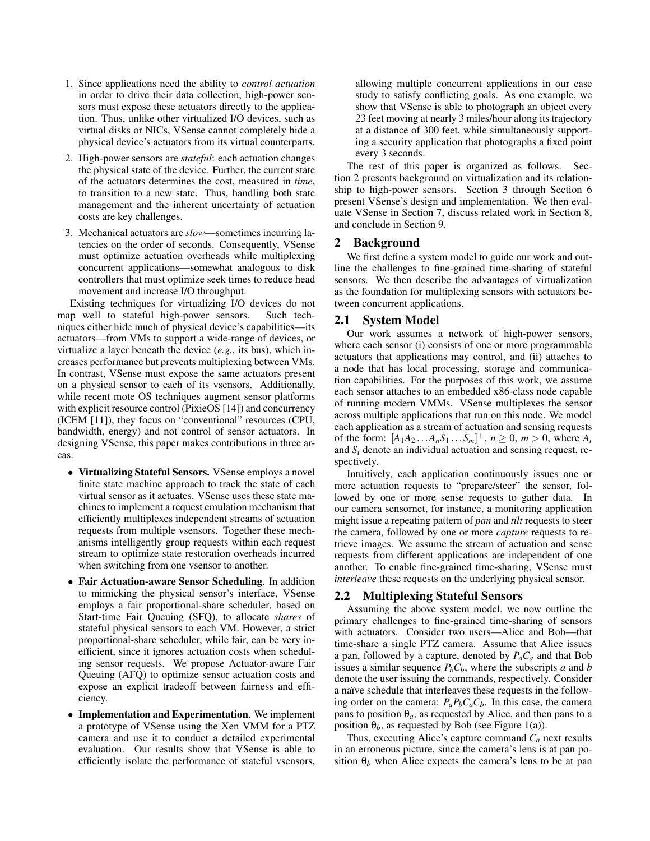- 1. Since applications need the ability to *control actuation* in order to drive their data collection, high-power sensors must expose these actuators directly to the application. Thus, unlike other virtualized I/O devices, such as virtual disks or NICs, VSense cannot completely hide a physical device's actuators from its virtual counterparts.
- 2. High-power sensors are *stateful*: each actuation changes the physical state of the device. Further, the current state of the actuators determines the cost, measured in *time*, to transition to a new state. Thus, handling both state management and the inherent uncertainty of actuation costs are key challenges.
- 3. Mechanical actuators are *slow*—sometimes incurring latencies on the order of seconds. Consequently, VSense must optimize actuation overheads while multiplexing concurrent applications—somewhat analogous to disk controllers that must optimize seek times to reduce head movement and increase I/O throughput.

Existing techniques for virtualizing I/O devices do not map well to stateful high-power sensors. Such techniques either hide much of physical device's capabilities—its actuators—from VMs to support a wide-range of devices, or virtualize a layer beneath the device (*e.g.*, its bus), which increases performance but prevents multiplexing between VMs. In contrast, VSense must expose the same actuators present on a physical sensor to each of its vsensors. Additionally, while recent mote OS techniques augment sensor platforms with explicit resource control (PixieOS [14]) and concurrency (ICEM [11]), they focus on "conventional" resources (CPU, bandwidth, energy) and not control of sensor actuators. In designing VSense, this paper makes contributions in three areas.

- Virtualizing Stateful Sensors. VSense employs a novel finite state machine approach to track the state of each virtual sensor as it actuates. VSense uses these state machines to implement a request emulation mechanism that efficiently multiplexes independent streams of actuation requests from multiple vsensors. Together these mechanisms intelligently group requests within each request stream to optimize state restoration overheads incurred when switching from one vsensor to another.
- Fair Actuation-aware Sensor Scheduling. In addition to mimicking the physical sensor's interface, VSense employs a fair proportional-share scheduler, based on Start-time Fair Queuing (SFQ), to allocate *shares* of stateful physical sensors to each VM. However, a strict proportional-share scheduler, while fair, can be very inefficient, since it ignores actuation costs when scheduling sensor requests. We propose Actuator-aware Fair Queuing (AFQ) to optimize sensor actuation costs and expose an explicit tradeoff between fairness and efficiency.
- Implementation and Experimentation. We implement a prototype of VSense using the Xen VMM for a PTZ camera and use it to conduct a detailed experimental evaluation. Our results show that VSense is able to efficiently isolate the performance of stateful vsensors,

allowing multiple concurrent applications in our case study to satisfy conflicting goals. As one example, we show that VSense is able to photograph an object every 23 feet moving at nearly 3 miles/hour along its trajectory at a distance of 300 feet, while simultaneously supporting a security application that photographs a fixed point every 3 seconds.

The rest of this paper is organized as follows. Section 2 presents background on virtualization and its relationship to high-power sensors. Section 3 through Section 6 present VSense's design and implementation. We then evaluate VSense in Section 7, discuss related work in Section 8, and conclude in Section 9.

## 2 Background

We first define a system model to guide our work and outline the challenges to fine-grained time-sharing of stateful sensors. We then describe the advantages of virtualization as the foundation for multiplexing sensors with actuators between concurrent applications.

## 2.1 System Model

Our work assumes a network of high-power sensors, where each sensor (i) consists of one or more programmable actuators that applications may control, and (ii) attaches to a node that has local processing, storage and communication capabilities. For the purposes of this work, we assume each sensor attaches to an embedded x86-class node capable of running modern VMMs. VSense multiplexes the sensor across multiple applications that run on this node. We model each application as a stream of actuation and sensing requests of the form:  $[A_1A_2...A_nS_1...S_m]^+$ ,  $n \ge 0$ ,  $m > 0$ , where  $A_i$ and *S<sup>i</sup>* denote an individual actuation and sensing request, respectively.

Intuitively, each application continuously issues one or more actuation requests to "prepare/steer" the sensor, followed by one or more sense requests to gather data. In our camera sensornet, for instance, a monitoring application might issue a repeating pattern of *pan* and *tilt* requests to steer the camera, followed by one or more *capture* requests to retrieve images. We assume the stream of actuation and sense requests from different applications are independent of one another. To enable fine-grained time-sharing, VSense must *interleave* these requests on the underlying physical sensor.

## 2.2 Multiplexing Stateful Sensors

Assuming the above system model, we now outline the primary challenges to fine-grained time-sharing of sensors with actuators. Consider two users—Alice and Bob—that time-share a single PTZ camera. Assume that Alice issues a pan, followed by a capture, denoted by  $P_aC_a$  and that Bob issues a similar sequence  $P_bC_b$ , where the subscripts *a* and *b* denote the user issuing the commands, respectively. Consider a naïve schedule that interleaves these requests in the following order on the camera:  $P_a P_b C_a C_b$ . In this case, the camera pans to position  $\theta_a$ , as requested by Alice, and then pans to a position  $\theta_b$ , as requested by Bob (see Figure 1(a)).

Thus, executing Alice's capture command *C<sup>a</sup>* next results in an erroneous picture, since the camera's lens is at pan position  $\theta_b$  when Alice expects the camera's lens to be at pan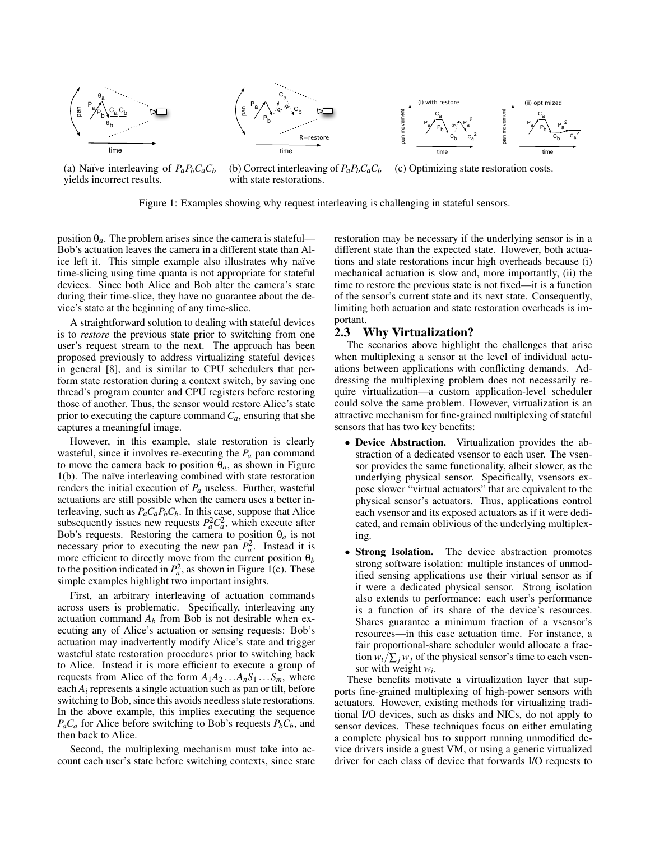

(a) Naïve interleaving of  $P_a P_b C_a C_b$ yields incorrect results.

(b) Correct interleaving of  $P_a P_b C_a C_b$ with state restorations. (c) Optimizing state restoration costs.

Figure 1: Examples showing why request interleaving is challenging in stateful sensors.

position  $\theta_a$ . The problem arises since the camera is stateful— Bob's actuation leaves the camera in a different state than Alice left it. This simple example also illustrates why naïve time-slicing using time quanta is not appropriate for stateful devices. Since both Alice and Bob alter the camera's state during their time-slice, they have no guarantee about the device's state at the beginning of any time-slice.

A straightforward solution to dealing with stateful devices is to *restore* the previous state prior to switching from one user's request stream to the next. The approach has been proposed previously to address virtualizing stateful devices in general [8], and is similar to CPU schedulers that perform state restoration during a context switch, by saving one thread's program counter and CPU registers before restoring those of another. Thus, the sensor would restore Alice's state prior to executing the capture command  $C_a$ , ensuring that she captures a meaningful image.

However, in this example, state restoration is clearly wasteful, since it involves re-executing the  $P_a$  pan command to move the camera back to position  $\theta_a$ , as shown in Figure  $1(b)$ . The naïve interleaving combined with state restoration renders the initial execution of *P<sup>a</sup>* useless. Further, wasteful actuations are still possible when the camera uses a better interleaving, such as  $P_a C_a P_b C_b$ . In this case, suppose that Alice subsequently issues new requests  $P_a^2 C_a^2$ , which execute after Bob's requests. Restoring the camera to position  $\theta_a$  is not necessary prior to executing the new pan  $P_a^2$ . Instead it is more efficient to directly move from the current position  $\theta_b$ to the position indicated in  $P_a^2$ , as shown in Figure 1(c). These simple examples highlight two important insights.

First, an arbitrary interleaving of actuation commands across users is problematic. Specifically, interleaving any actuation command  $A_b$  from Bob is not desirable when executing any of Alice's actuation or sensing requests: Bob's actuation may inadvertently modify Alice's state and trigger wasteful state restoration procedures prior to switching back to Alice. Instead it is more efficient to execute a group of requests from Alice of the form  $A_1A_2...A_nS_1...S_m$ , where each  $A_i$  represents a single actuation such as pan or tilt, before switching to Bob, since this avoids needless state restorations. In the above example, this implies executing the sequence  $P_aC_a$  for Alice before switching to Bob's requests  $P_bC_b$ , and then back to Alice.

Second, the multiplexing mechanism must take into account each user's state before switching contexts, since state restoration may be necessary if the underlying sensor is in a different state than the expected state. However, both actuations and state restorations incur high overheads because (i) mechanical actuation is slow and, more importantly, (ii) the time to restore the previous state is not fixed—it is a function of the sensor's current state and its next state. Consequently, limiting both actuation and state restoration overheads is important.

## 2.3 Why Virtualization?

The scenarios above highlight the challenges that arise when multiplexing a sensor at the level of individual actuations between applications with conflicting demands. Addressing the multiplexing problem does not necessarily require virtualization—a custom application-level scheduler could solve the same problem. However, virtualization is an attractive mechanism for fine-grained multiplexing of stateful sensors that has two key benefits:

- Device Abstraction. Virtualization provides the abstraction of a dedicated vsensor to each user. The vsensor provides the same functionality, albeit slower, as the underlying physical sensor. Specifically, vsensors expose slower "virtual actuators" that are equivalent to the physical sensor's actuators. Thus, applications control each vsensor and its exposed actuators as if it were dedicated, and remain oblivious of the underlying multiplexing.
- Strong Isolation. The device abstraction promotes strong software isolation: multiple instances of unmodified sensing applications use their virtual sensor as if it were a dedicated physical sensor. Strong isolation also extends to performance: each user's performance is a function of its share of the device's resources. Shares guarantee a minimum fraction of a vsensor's resources—in this case actuation time. For instance, a fair proportional-share scheduler would allocate a fraction  $w_i/\sum_j w_j$  of the physical sensor's time to each vsensor with weight *w<sup>i</sup>* .

These benefits motivate a virtualization layer that supports fine-grained multiplexing of high-power sensors with actuators. However, existing methods for virtualizing traditional I/O devices, such as disks and NICs, do not apply to sensor devices. These techniques focus on either emulating a complete physical bus to support running unmodified device drivers inside a guest VM, or using a generic virtualized driver for each class of device that forwards I/O requests to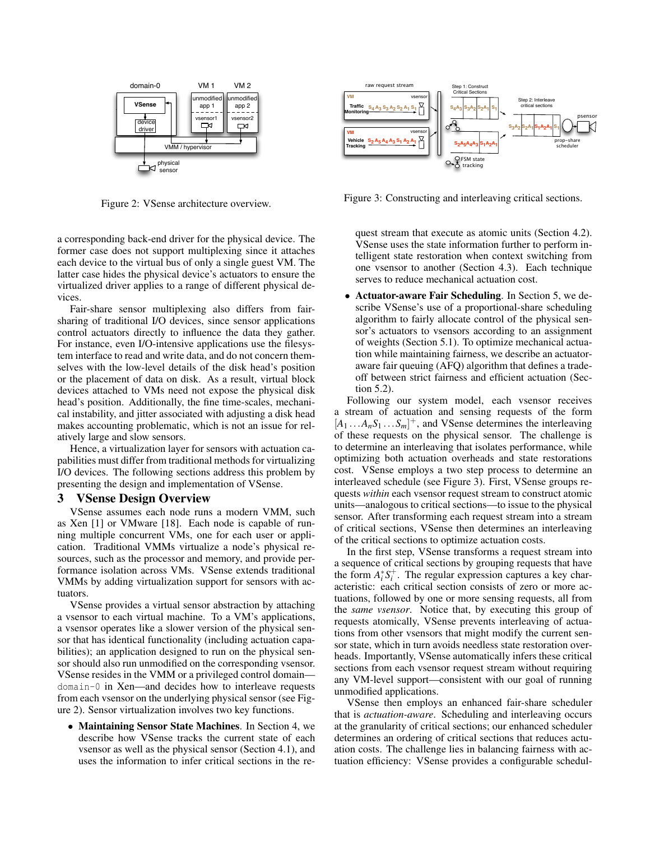

Figure 2: VSense architecture overview.

a corresponding back-end driver for the physical device. The former case does not support multiplexing since it attaches each device to the virtual bus of only a single guest VM. The latter case hides the physical device's actuators to ensure the virtualized driver applies to a range of different physical devices.

Fair-share sensor multiplexing also differs from fairsharing of traditional I/O devices, since sensor applications control actuators directly to influence the data they gather. For instance, even I/O-intensive applications use the filesystem interface to read and write data, and do not concern themselves with the low-level details of the disk head's position or the placement of data on disk. As a result, virtual block devices attached to VMs need not expose the physical disk head's position. Additionally, the fine time-scales, mechanical instability, and jitter associated with adjusting a disk head makes accounting problematic, which is not an issue for relatively large and slow sensors.

Hence, a virtualization layer for sensors with actuation capabilities must differ from traditional methods for virtualizing I/O devices. The following sections address this problem by presenting the design and implementation of VSense.

#### 3 VSense Design Overview

VSense assumes each node runs a modern VMM, such as Xen [1] or VMware [18]. Each node is capable of running multiple concurrent VMs, one for each user or application. Traditional VMMs virtualize a node's physical resources, such as the processor and memory, and provide performance isolation across VMs. VSense extends traditional VMMs by adding virtualization support for sensors with actuators.

VSense provides a virtual sensor abstraction by attaching a vsensor to each virtual machine. To a VM's applications, a vsensor operates like a slower version of the physical sensor that has identical functionality (including actuation capabilities); an application designed to run on the physical sensor should also run unmodified on the corresponding vsensor. VSense resides in the VMM or a privileged control domain domain-0 in Xen—and decides how to interleave requests from each vsensor on the underlying physical sensor (see Figure 2). Sensor virtualization involves two key functions.

• Maintaining Sensor State Machines. In Section 4, we describe how VSense tracks the current state of each vsensor as well as the physical sensor (Section 4.1), and uses the information to infer critical sections in the re-



Figure 3: Constructing and interleaving critical sections.

quest stream that execute as atomic units (Section 4.2). VSense uses the state information further to perform intelligent state restoration when context switching from one vsensor to another (Section 4.3). Each technique serves to reduce mechanical actuation cost.

• Actuator-aware Fair Scheduling. In Section 5, we describe VSense's use of a proportional-share scheduling algorithm to fairly allocate control of the physical sensor's actuators to vsensors according to an assignment of weights (Section 5.1). To optimize mechanical actuation while maintaining fairness, we describe an actuatoraware fair queuing (AFQ) algorithm that defines a tradeoff between strict fairness and efficient actuation (Section 5.2).

Following our system model, each vsensor receives a stream of actuation and sensing requests of the form  $[A_1 \dots A_n S_1 \dots S_m]^+$ , and VSense determines the interleaving of these requests on the physical sensor. The challenge is to determine an interleaving that isolates performance, while optimizing both actuation overheads and state restorations cost. VSense employs a two step process to determine an interleaved schedule (see Figure 3). First, VSense groups requests *within* each vsensor request stream to construct atomic units—analogous to critical sections—to issue to the physical sensor. After transforming each request stream into a stream of critical sections, VSense then determines an interleaving of the critical sections to optimize actuation costs.

In the first step, VSense transforms a request stream into a sequence of critical sections by grouping requests that have the form  $A_i^* S_i^+$ . The regular expression captures a key characteristic: each critical section consists of zero or more actuations, followed by one or more sensing requests, all from the *same vsensor*. Notice that, by executing this group of requests atomically, VSense prevents interleaving of actuations from other vsensors that might modify the current sensor state, which in turn avoids needless state restoration overheads. Importantly, VSense automatically infers these critical sections from each vsensor request stream without requiring any VM-level support—consistent with our goal of running unmodified applications.

VSense then employs an enhanced fair-share scheduler that is *actuation-aware*. Scheduling and interleaving occurs at the granularity of critical sections; our enhanced scheduler determines an ordering of critical sections that reduces actuation costs. The challenge lies in balancing fairness with actuation efficiency: VSense provides a configurable schedul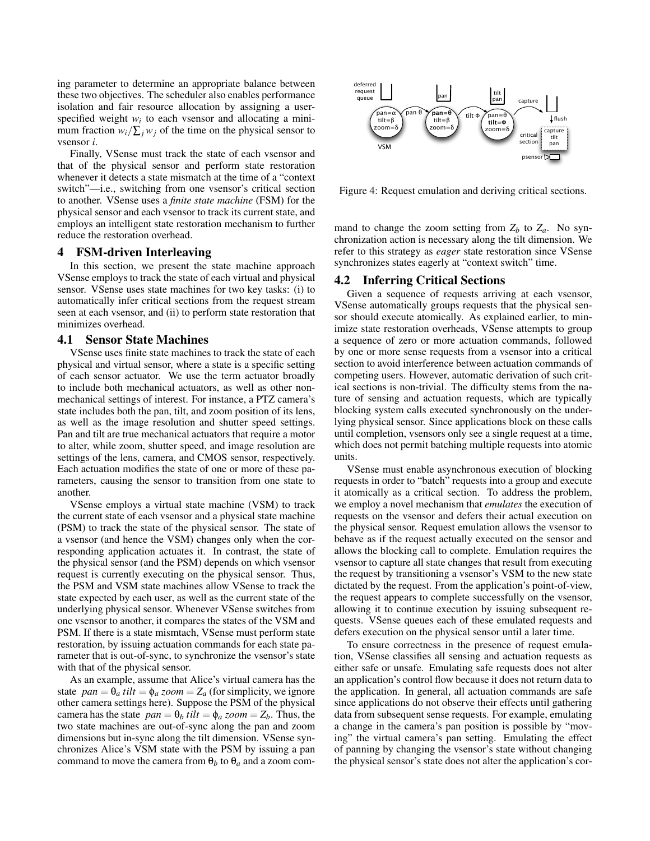ing parameter to determine an appropriate balance between these two objectives. The scheduler also enables performance isolation and fair resource allocation by assigning a userspecified weight  $w_i$  to each vsensor and allocating a minimum fraction  $w_i/\sum_j w_j$  of the time on the physical sensor to vsensor *i*.

Finally, VSense must track the state of each vsensor and that of the physical sensor and perform state restoration whenever it detects a state mismatch at the time of a "context switch"—i.e., switching from one vsensor's critical section to another. VSense uses a *finite state machine* (FSM) for the physical sensor and each vsensor to track its current state, and employs an intelligent state restoration mechanism to further reduce the restoration overhead.

#### 4 FSM-driven Interleaving

In this section, we present the state machine approach VSense employs to track the state of each virtual and physical sensor. VSense uses state machines for two key tasks: (i) to automatically infer critical sections from the request stream seen at each vsensor, and (ii) to perform state restoration that minimizes overhead.

## 4.1 Sensor State Machines

VSense uses finite state machines to track the state of each physical and virtual sensor, where a state is a specific setting of each sensor actuator. We use the term actuator broadly to include both mechanical actuators, as well as other nonmechanical settings of interest. For instance, a PTZ camera's state includes both the pan, tilt, and zoom position of its lens, as well as the image resolution and shutter speed settings. Pan and tilt are true mechanical actuators that require a motor to alter, while zoom, shutter speed, and image resolution are settings of the lens, camera, and CMOS sensor, respectively. Each actuation modifies the state of one or more of these parameters, causing the sensor to transition from one state to another.

VSense employs a virtual state machine (VSM) to track the current state of each vsensor and a physical state machine (PSM) to track the state of the physical sensor. The state of a vsensor (and hence the VSM) changes only when the corresponding application actuates it. In contrast, the state of the physical sensor (and the PSM) depends on which vsensor request is currently executing on the physical sensor. Thus, the PSM and VSM state machines allow VSense to track the state expected by each user, as well as the current state of the underlying physical sensor. Whenever VSense switches from one vsensor to another, it compares the states of the VSM and PSM. If there is a state mismtach, VSense must perform state restoration, by issuing actuation commands for each state parameter that is out-of-sync, to synchronize the vsensor's state with that of the physical sensor.

As an example, assume that Alice's virtual camera has the state  $pan = \theta_a$  *tilt* =  $\phi_a$  *zoom* =  $Z_a$  (for simplicity, we ignore other camera settings here). Suppose the PSM of the physical camera has the state  $pan = \theta_b$  *tilt* =  $\phi_a$  *zoom* =  $Z_b$ . Thus, the two state machines are out-of-sync along the pan and zoom dimensions but in-sync along the tilt dimension. VSense synchronizes Alice's VSM state with the PSM by issuing a pan command to move the camera from  $\theta_b$  to  $\theta_a$  and a zoom com-



Figure 4: Request emulation and deriving critical sections.

mand to change the zoom setting from  $Z_b$  to  $Z_a$ . No synchronization action is necessary along the tilt dimension. We refer to this strategy as *eager* state restoration since VSense synchronizes states eagerly at "context switch" time.

## 4.2 Inferring Critical Sections

Given a sequence of requests arriving at each vsensor, VSense automatically groups requests that the physical sensor should execute atomically. As explained earlier, to minimize state restoration overheads, VSense attempts to group a sequence of zero or more actuation commands, followed by one or more sense requests from a vsensor into a critical section to avoid interference between actuation commands of competing users. However, automatic derivation of such critical sections is non-trivial. The difficulty stems from the nature of sensing and actuation requests, which are typically blocking system calls executed synchronously on the underlying physical sensor. Since applications block on these calls until completion, vsensors only see a single request at a time, which does not permit batching multiple requests into atomic units.

VSense must enable asynchronous execution of blocking requests in order to "batch" requests into a group and execute it atomically as a critical section. To address the problem, we employ a novel mechanism that *emulates* the execution of requests on the vsensor and defers their actual execution on the physical sensor. Request emulation allows the vsensor to behave as if the request actually executed on the sensor and allows the blocking call to complete. Emulation requires the vsensor to capture all state changes that result from executing the request by transitioning a vsensor's VSM to the new state dictated by the request. From the application's point-of-view, the request appears to complete successfully on the vsensor, allowing it to continue execution by issuing subsequent requests. VSense queues each of these emulated requests and defers execution on the physical sensor until a later time.

To ensure correctness in the presence of request emulation, VSense classifies all sensing and actuation requests as either safe or unsafe. Emulating safe requests does not alter an application's control flow because it does not return data to the application. In general, all actuation commands are safe since applications do not observe their effects until gathering data from subsequent sense requests. For example, emulating a change in the camera's pan position is possible by "moving" the virtual camera's pan setting. Emulating the effect of panning by changing the vsensor's state without changing the physical sensor's state does not alter the application's cor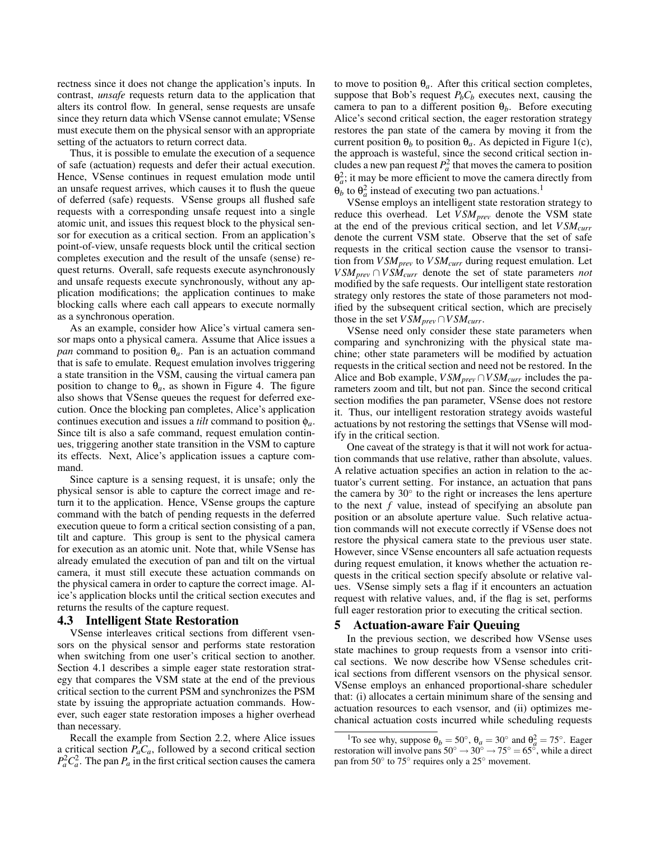rectness since it does not change the application's inputs. In contrast, *unsafe* requests return data to the application that alters its control flow. In general, sense requests are unsafe since they return data which VSense cannot emulate; VSense must execute them on the physical sensor with an appropriate setting of the actuators to return correct data.

Thus, it is possible to emulate the execution of a sequence of safe (actuation) requests and defer their actual execution. Hence, VSense continues in request emulation mode until an unsafe request arrives, which causes it to flush the queue of deferred (safe) requests. VSense groups all flushed safe requests with a corresponding unsafe request into a single atomic unit, and issues this request block to the physical sensor for execution as a critical section. From an application's point-of-view, unsafe requests block until the critical section completes execution and the result of the unsafe (sense) request returns. Overall, safe requests execute asynchronously and unsafe requests execute synchronously, without any application modifications; the application continues to make blocking calls where each call appears to execute normally as a synchronous operation.

As an example, consider how Alice's virtual camera sensor maps onto a physical camera. Assume that Alice issues a *pan* command to position  $\theta_a$ . Pan is an actuation command that is safe to emulate. Request emulation involves triggering a state transition in the VSM, causing the virtual camera pan position to change to  $\theta_a$ , as shown in Figure 4. The figure also shows that VSense queues the request for deferred execution. Once the blocking pan completes, Alice's application continues execution and issues a *tilt* command to position φ*a*. Since tilt is also a safe command, request emulation continues, triggering another state transition in the VSM to capture its effects. Next, Alice's application issues a capture command.

Since capture is a sensing request, it is unsafe; only the physical sensor is able to capture the correct image and return it to the application. Hence, VSense groups the capture command with the batch of pending requests in the deferred execution queue to form a critical section consisting of a pan, tilt and capture. This group is sent to the physical camera for execution as an atomic unit. Note that, while VSense has already emulated the execution of pan and tilt on the virtual camera, it must still execute these actuation commands on the physical camera in order to capture the correct image. Alice's application blocks until the critical section executes and returns the results of the capture request.

## 4.3 Intelligent State Restoration

VSense interleaves critical sections from different vsensors on the physical sensor and performs state restoration when switching from one user's critical section to another. Section 4.1 describes a simple eager state restoration strategy that compares the VSM state at the end of the previous critical section to the current PSM and synchronizes the PSM state by issuing the appropriate actuation commands. However, such eager state restoration imposes a higher overhead than necessary.

Recall the example from Section 2.2, where Alice issues a critical section  $P_aC_a$ , followed by a second critical section  $P_a^2 C_a^2$ . The pan  $P_a$  in the first critical section causes the camera

to move to position  $\theta_a$ . After this critical section completes, suppose that Bob's request  $P_bC_b$  executes next, causing the camera to pan to a different position  $\theta_b$ . Before executing Alice's second critical section, the eager restoration strategy restores the pan state of the camera by moving it from the current position  $\theta_b$  to position  $\theta_a$ . As depicted in Figure 1(c), the approach is wasteful, since the second critical section includes a new pan request  $P_a^2$  that moves the camera to position  $\theta_a^2$ ; it may be more efficient to move the camera directly from  $\theta_b$  to  $\theta_a^2$  instead of executing two pan actuations.<sup>1</sup>

VSense employs an intelligent state restoration strategy to reduce this overhead. Let *V SMprev* denote the VSM state at the end of the previous critical section, and let *V SMcurr* denote the current VSM state. Observe that the set of safe requests in the critical section cause the vsensor to transition from *V SMprev* to *V SMcurr* during request emulation. Let *V SMprev* ∩*V SMcurr* denote the set of state parameters *not* modified by the safe requests. Our intelligent state restoration strategy only restores the state of those parameters not modified by the subsequent critical section, which are precisely those in the set  $VSM_{prev} \cap VSM_{curr}$ .

VSense need only consider these state parameters when comparing and synchronizing with the physical state machine; other state parameters will be modified by actuation requests in the critical section and need not be restored. In the Alice and Bob example, *V SMprev* ∩*V SMcurr* includes the parameters zoom and tilt, but not pan. Since the second critical section modifies the pan parameter, VSense does not restore it. Thus, our intelligent restoration strategy avoids wasteful actuations by not restoring the settings that VSense will modify in the critical section.

One caveat of the strategy is that it will not work for actuation commands that use relative, rather than absolute, values. A relative actuation specifies an action in relation to the actuator's current setting. For instance, an actuation that pans the camera by 30° to the right or increases the lens aperture to the next *f* value, instead of specifying an absolute pan position or an absolute aperture value. Such relative actuation commands will not execute correctly if VSense does not restore the physical camera state to the previous user state. However, since VSense encounters all safe actuation requests during request emulation, it knows whether the actuation requests in the critical section specify absolute or relative values. VSense simply sets a flag if it encounters an actuation request with relative values, and, if the flag is set, performs full eager restoration prior to executing the critical section.

#### 5 Actuation-aware Fair Queuing

In the previous section, we described how VSense uses state machines to group requests from a vsensor into critical sections. We now describe how VSense schedules critical sections from different vsensors on the physical sensor. VSense employs an enhanced proportional-share scheduler that: (i) allocates a certain minimum share of the sensing and actuation resources to each vsensor, and (ii) optimizes mechanical actuation costs incurred while scheduling requests

<sup>&</sup>lt;sup>1</sup>To see why, suppose  $\theta_b = 50^\circ$ ,  $\theta_a = 30^\circ$  and  $\theta_a^2 = 75^\circ$ . Eager restoration will involve pans  $50^{\circ} \rightarrow 30^{\circ} \rightarrow 75^{\circ} = 65^{\circ}$ , while a direct pan from 50° to 75° requires only a 25° movement.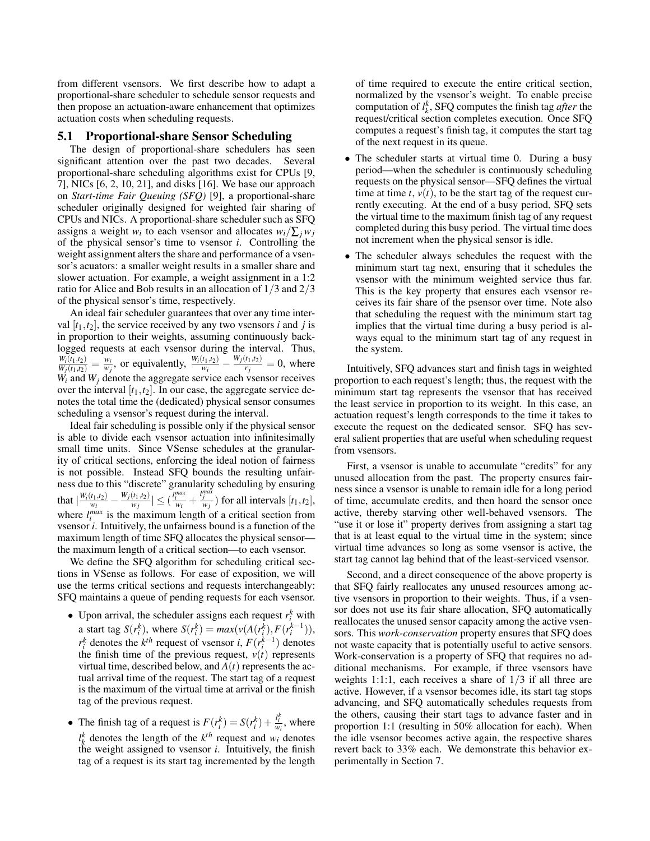from different vsensors. We first describe how to adapt a proportional-share scheduler to schedule sensor requests and then propose an actuation-aware enhancement that optimizes actuation costs when scheduling requests.

## 5.1 Proportional-share Sensor Scheduling

The design of proportional-share schedulers has seen significant attention over the past two decades. Several proportional-share scheduling algorithms exist for CPUs [9, 7], NICs [6, 2, 10, 21], and disks [16]. We base our approach on *Start-time Fair Queuing (SFQ)* [9], a proportional-share scheduler originally designed for weighted fair sharing of CPUs and NICs. A proportional-share scheduler such as SFQ assigns a weight *w<sub>i</sub>* to each vsensor and allocates  $w_i / \sum_j w_j$ of the physical sensor's time to vsensor *i*. Controlling the weight assignment alters the share and performance of a vsensor's acuators: a smaller weight results in a smaller share and slower actuation. For example, a weight assignment in a 1:2 ratio for Alice and Bob results in an allocation of 1/3 and 2/3 of the physical sensor's time, respectively.

An ideal fair scheduler guarantees that over any time interval  $[t_1, t_2]$ , the service received by any two vsensors *i* and *j* is in proportion to their weights, assuming continuously backlogged requests at each vsensor during the interval. Thus,  $\frac{W_i(t_1,t_2)}{W_j(t_1,t_2)} = \frac{w_i}{w_j}$ , or equivalently,  $\frac{W_i(t_1,t_2)}{w_i} - \frac{W_j(t_1,t_2)}{r_j}$  $\frac{\mu_1,\mu_2}{r_j} = 0$ , where  $W_i$  and  $W_j$  denote the aggregate service each vsensor receives over the interval  $[t_1, t_2]$ . In our case, the aggregate service denotes the total time the (dedicated) physical sensor consumes scheduling a vsensor's request during the interval.

Ideal fair scheduling is possible only if the physical sensor is able to divide each vsensor actuation into infinitesimally small time units. Since VSense schedules at the granularity of critical sections, enforcing the ideal notion of fairness is not possible. Instead SFQ bounds the resulting unfairness due to this "discrete" granularity scheduling by ensuring that  $\left| \frac{W_i(t_1,t_2)}{W_i} \right|$  $\frac{W_j(t_1,t_2)}{W_j} - \frac{W_j(t_1,t_2)}{W_j}$  $\left|\frac{(t_1,t_2)}{w_i}\right| \leq \left(\frac{l_i^{max}}{w_i} + \frac{l_j^{max}}{w_j}\right)$  for all intervals  $[t_1,t_2]$ , where  $l_i^{max}$  is the maximum length of a critical section from vsensor *i*. Intuitively, the unfairness bound is a function of the maximum length of time SFQ allocates the physical sensor the maximum length of a critical section—to each vsensor.

We define the SFQ algorithm for scheduling critical sections in VSense as follows. For ease of exposition, we will use the terms critical sections and requests interchangeably: SFQ maintains a queue of pending requests for each vsensor.

- Upon arrival, the scheduler assigns each request  $r_i^k$  with a start tag  $S(r_i^k)$ , where  $S(r_i^k) = max(v(A(r_i^k), F(r_i^{k-1}))),$ *r*<sup>*k*</sup></sup> denotes the *k*<sup>*th*</sup> request of vsensor *i*, *F*(*r*<sup>*k*−1</sup>)</sub> denotes the finish time of the previous request,  $v(t)$  represents virtual time, described below, and  $A(t)$  represents the actual arrival time of the request. The start tag of a request is the maximum of the virtual time at arrival or the finish tag of the previous request.
- The finish tag of a request is  $F(r_i^k) = S(r_i^k) + \frac{l_i^k}{w_i}$ , where  $l_k^k$  denotes the length of the  $k^{th}$  request and  $w_i$  denotes the weight assigned to vsensor *i*. Intuitively, the finish tag of a request is its start tag incremented by the length

of time required to execute the entire critical section, normalized by the vsensor's weight. To enable precise computation of  $l_k^k$ , SFQ computes the finish tag *after* the request/critical section completes execution. Once SFQ computes a request's finish tag, it computes the start tag of the next request in its queue.

- The scheduler starts at virtual time 0. During a busy period—when the scheduler is continuously scheduling requests on the physical sensor—SFQ defines the virtual time at time  $t$ ,  $v(t)$ , to be the start tag of the request currently executing. At the end of a busy period, SFQ sets the virtual time to the maximum finish tag of any request completed during this busy period. The virtual time does not increment when the physical sensor is idle.
- The scheduler always schedules the request with the minimum start tag next, ensuring that it schedules the vsensor with the minimum weighted service thus far. This is the key property that ensures each vsensor receives its fair share of the psensor over time. Note also that scheduling the request with the minimum start tag implies that the virtual time during a busy period is always equal to the minimum start tag of any request in the system.

Intuitively, SFQ advances start and finish tags in weighted proportion to each request's length; thus, the request with the minimum start tag represents the vsensor that has received the least service in proportion to its weight. In this case, an actuation request's length corresponds to the time it takes to execute the request on the dedicated sensor. SFQ has several salient properties that are useful when scheduling request from vsensors.

First, a vsensor is unable to accumulate "credits" for any unused allocation from the past. The property ensures fairness since a vsensor is unable to remain idle for a long period of time, accumulate credits, and then hoard the sensor once active, thereby starving other well-behaved vsensors. The "use it or lose it" property derives from assigning a start tag that is at least equal to the virtual time in the system; since virtual time advances so long as some vsensor is active, the start tag cannot lag behind that of the least-serviced vsensor.

Second, and a direct consequence of the above property is that SFQ fairly reallocates any unused resources among active vsensors in proportion to their weights. Thus, if a vsensor does not use its fair share allocation, SFQ automatically reallocates the unused sensor capacity among the active vsensors. This *work-conservation* property ensures that SFQ does not waste capacity that is potentially useful to active sensors. Work-conservation is a property of SFQ that requires no additional mechanisms. For example, if three vsensors have weights 1:1:1, each receives a share of  $1/3$  if all three are active. However, if a vsensor becomes idle, its start tag stops advancing, and SFQ automatically schedules requests from the others, causing their start tags to advance faster and in proportion 1:1 (resulting in 50% allocation for each). When the idle vsensor becomes active again, the respective shares revert back to 33% each. We demonstrate this behavior experimentally in Section 7.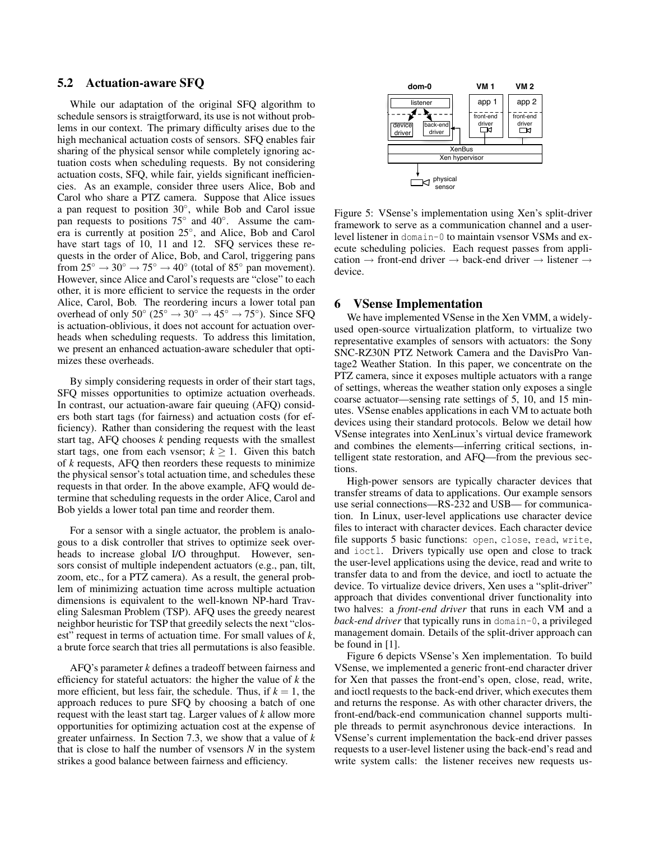## 5.2 Actuation-aware SFQ

While our adaptation of the original SFQ algorithm to schedule sensors is straigtforward, its use is not without problems in our context. The primary difficulty arises due to the high mechanical actuation costs of sensors. SFQ enables fair sharing of the physical sensor while completely ignoring actuation costs when scheduling requests. By not considering actuation costs, SFQ, while fair, yields significant inefficiencies. As an example, consider three users Alice, Bob and Carol who share a PTZ camera. Suppose that Alice issues a pan request to position  $30^\circ$ , while Bob and Carol issue pan requests to positions 75° and 40°. Assume the camera is currently at position 25◦ , and Alice, Bob and Carol have start tags of 10, 11 and 12. SFQ services these requests in the order of Alice, Bob, and Carol, triggering pans from  $25^\circ \rightarrow 30^\circ \rightarrow 75^\circ \rightarrow 40^\circ$  (total of 85° pan movement). However, since Alice and Carol's requests are "close" to each other, it is more efficient to service the requests in the order Alice, Carol, Bob. The reordering incurs a lower total pan overhead of only  $50^{\circ}$  ( $25^{\circ} \rightarrow 30^{\circ} \rightarrow 45^{\circ} \rightarrow 75^{\circ}$ ). Since SFQ is actuation-oblivious, it does not account for actuation overheads when scheduling requests. To address this limitation, we present an enhanced actuation-aware scheduler that optimizes these overheads.

By simply considering requests in order of their start tags, SFQ misses opportunities to optimize actuation overheads. In contrast, our actuation-aware fair queuing (AFQ) considers both start tags (for fairness) and actuation costs (for efficiency). Rather than considering the request with the least start tag, AFQ chooses *k* pending requests with the smallest start tags, one from each vsensor;  $k \geq 1$ . Given this batch of *k* requests, AFQ then reorders these requests to minimize the physical sensor's total actuation time, and schedules these requests in that order. In the above example, AFQ would determine that scheduling requests in the order Alice, Carol and Bob yields a lower total pan time and reorder them.

For a sensor with a single actuator, the problem is analogous to a disk controller that strives to optimize seek overheads to increase global I/O throughput. However, sensors consist of multiple independent actuators (e.g., pan, tilt, zoom, etc., for a PTZ camera). As a result, the general problem of minimizing actuation time across multiple actuation dimensions is equivalent to the well-known NP-hard Traveling Salesman Problem (TSP). AFQ uses the greedy nearest neighbor heuristic for TSP that greedily selects the next "closest" request in terms of actuation time. For small values of *k*, a brute force search that tries all permutations is also feasible.

AFQ's parameter *k* defines a tradeoff between fairness and efficiency for stateful actuators: the higher the value of *k* the more efficient, but less fair, the schedule. Thus, if  $k = 1$ , the approach reduces to pure SFQ by choosing a batch of one request with the least start tag. Larger values of *k* allow more opportunities for optimizing actuation cost at the expense of greater unfairness. In Section 7.3, we show that a value of *k* that is close to half the number of vsensors *N* in the system strikes a good balance between fairness and efficiency.



Figure 5: VSense's implementation using Xen's split-driver framework to serve as a communication channel and a userlevel listener in domain-0 to maintain vsensor VSMs and execute scheduling policies. Each request passes from application  $\rightarrow$  front-end driver  $\rightarrow$  back-end driver  $\rightarrow$  listener  $\rightarrow$ device.

#### 6 VSense Implementation

We have implemented VSense in the Xen VMM, a widelyused open-source virtualization platform, to virtualize two representative examples of sensors with actuators: the Sony SNC-RZ30N PTZ Network Camera and the DavisPro Vantage2 Weather Station. In this paper, we concentrate on the PTZ camera, since it exposes multiple actuators with a range of settings, whereas the weather station only exposes a single coarse actuator—sensing rate settings of 5, 10, and 15 minutes. VSense enables applications in each VM to actuate both devices using their standard protocols. Below we detail how VSense integrates into XenLinux's virtual device framework and combines the elements—inferring critical sections, intelligent state restoration, and AFQ—from the previous sections.

High-power sensors are typically character devices that transfer streams of data to applications. Our example sensors use serial connections—RS-232 and USB— for communication. In Linux, user-level applications use character device files to interact with character devices. Each character device file supports 5 basic functions: open, close, read, write, and ioctl. Drivers typically use open and close to track the user-level applications using the device, read and write to transfer data to and from the device, and ioctl to actuate the device. To virtualize device drivers, Xen uses a "split-driver" approach that divides conventional driver functionality into two halves: a *front-end driver* that runs in each VM and a *back-end driver* that typically runs in domain-0, a privileged management domain. Details of the split-driver approach can be found in [1].

Figure 6 depicts VSense's Xen implementation. To build VSense, we implemented a generic front-end character driver for Xen that passes the front-end's open, close, read, write, and ioctl requests to the back-end driver, which executes them and returns the response. As with other character drivers, the front-end/back-end communication channel supports multiple threads to permit asynchronous device interactions. In VSense's current implementation the back-end driver passes requests to a user-level listener using the back-end's read and write system calls: the listener receives new requests us-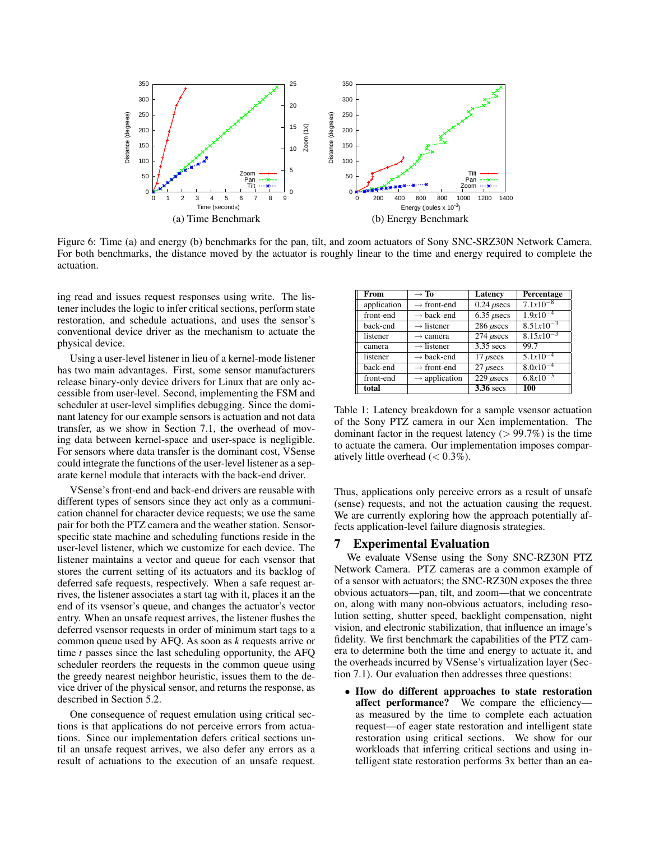

Figure 6: Time (a) and energy (b) benchmarks for the pan, tilt, and zoom actuators of Sony SNC-SRZ30N Network Camera. For both benchmarks, the distance moved by the actuator is roughly linear to the time and energy required to complete the actuation.

ing read and issues request responses using write. The listener includes the logic to infer critical sections, perform state restoration, and schedule actuations, and uses the sensor's conventional device driver as the mechanism to actuate the physical device.

Using a user-level listener in lieu of a kernel-mode listener has two main advantages. First, some sensor manufacturers release binary-only device drivers for Linux that are only accessible from user-level. Second, implementing the FSM and scheduler at user-level simplifies debugging. Since the dominant latency for our example sensors is actuation and not data transfer, as we show in Section 7.1, the overhead of moving data between kernel-space and user-space is negligible. For sensors where data transfer is the dominant cost, VSense could integrate the functions of the user-level listener as a separate kernel module that interacts with the back-end driver.

VSense's front-end and back-end drivers are reusable with different types of sensors since they act only as a communication channel for character device requests; we use the same pair for both the PTZ camera and the weather station. Sensorspecific state machine and scheduling functions reside in the user-level listener, which we customize for each device. The listener maintains a vector and queue for each vsensor that stores the current setting of its actuators and its backlog of deferred safe requests, respectively. When a safe request arrives, the listener associates a start tag with it, places it an the end of its vsensor's queue, and changes the actuator's vector entry. When an unsafe request arrives, the listener flushes the deferred vsensor requests in order of minimum start tags to a common queue used by AFQ. As soon as *k* requests arrive or time *t* passes since the last scheduling opportunity, the AFQ scheduler reorders the requests in the common queue using the greedy nearest neighbor heuristic, issues them to the device driver of the physical sensor, and returns the response, as described in Section 5.2.

One consequence of request emulation using critical sections is that applications do not perceive errors from actuations. Since our implementation defers critical sections until an unsafe request arrives, we also defer any errors as a result of actuations to the execution of an unsafe request.

| From        | $\rightarrow$ To          | Latency               | Percentage     |
|-------------|---------------------------|-----------------------|----------------|
| application | $\rightarrow$ front-end   | $0.24$ $\mu$ secs     | $7.1x10^{-8}$  |
| front-end   | $\rightarrow$ back-end    | $6.35 \mu$ secs       | $1.9x10^{-4}$  |
| back-end    | $\rightarrow$ listener    | $286 \mu$ secs        | $8.51x10^{-3}$ |
| listener    | $\rightarrow$ camera      | $274$ $\mu$ secs      | $8.15x10^{-3}$ |
| camera      | $\rightarrow$ listener    | $3.35$ secs           | 99.7           |
| listener    | $\rightarrow$ back-end    | $17$ $\mu$ secs       | $5.1x10^{-4}$  |
| back-end    | $\rightarrow$ front-end   | $27$ $\mu$ secs       | $8.0x10^{-4}$  |
| front-end   | $\rightarrow$ application | $229$ $\mu$ secs      | $6.8x10^{-3}$  |
| total       |                           | $3.36 \overline{sec}$ | 100            |

Table 1: Latency breakdown for a sample vsensor actuation of the Sony PTZ camera in our Xen implementation. The dominant factor in the request latency  $(> 99.7%)$  is the time to actuate the camera. Our implementation imposes comparatively little overhead  $(< 0.3\%$ ).

Thus, applications only perceive errors as a result of unsafe (sense) requests, and not the actuation causing the request. We are currently exploring how the approach potentially affects application-level failure diagnosis strategies.

## 7 Experimental Evaluation

We evaluate VSense using the Sony SNC-RZ30N PTZ Network Camera. PTZ cameras are a common example of of a sensor with actuators; the SNC-RZ30N exposes the three obvious actuators—pan, tilt, and zoom—that we concentrate on, along with many non-obvious actuators, including resolution setting, shutter speed, backlight compensation, night vision, and electronic stabilization, that influence an image's fidelity. We first benchmark the capabilities of the PTZ camera to determine both the time and energy to actuate it, and the overheads incurred by VSense's virtualization layer (Section 7.1). Our evaluation then addresses three questions:

• How do different approaches to state restoration affect performance? We compare the efficiency as measured by the time to complete each actuation request—of eager state restoration and intelligent state restoration using critical sections. We show for our workloads that inferring critical sections and using intelligent state restoration performs 3x better than an ea-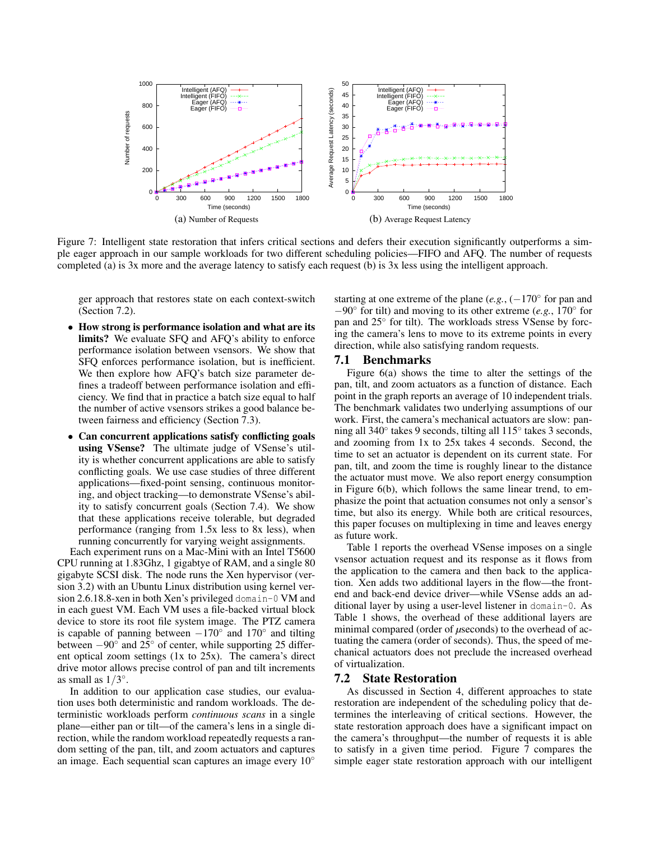

Figure 7: Intelligent state restoration that infers critical sections and defers their execution significantly outperforms a simple eager approach in our sample workloads for two different scheduling policies—FIFO and AFQ. The number of requests completed (a) is 3x more and the average latency to satisfy each request (b) is 3x less using the intelligent approach.

ger approach that restores state on each context-switch (Section 7.2).

- How strong is performance isolation and what are its limits? We evaluate SFQ and AFQ's ability to enforce performance isolation between vsensors. We show that SFQ enforces performance isolation, but is inefficient. We then explore how AFQ's batch size parameter defines a tradeoff between performance isolation and efficiency. We find that in practice a batch size equal to half the number of active vsensors strikes a good balance between fairness and efficiency (Section 7.3).
- Can concurrent applications satisfy conflicting goals using VSense? The ultimate judge of VSense's utility is whether concurrent applications are able to satisfy conflicting goals. We use case studies of three different applications—fixed-point sensing, continuous monitoring, and object tracking—to demonstrate VSense's ability to satisfy concurrent goals (Section 7.4). We show that these applications receive tolerable, but degraded performance (ranging from 1.5x less to 8x less), when running concurrently for varying weight assignments.

Each experiment runs on a Mac-Mini with an Intel T5600 CPU running at 1.83Ghz, 1 gigabtye of RAM, and a single 80 gigabyte SCSI disk. The node runs the Xen hypervisor (version 3.2) with an Ubuntu Linux distribution using kernel version 2.6.18.8-xen in both Xen's privileged domain-0 VM and in each guest VM. Each VM uses a file-backed virtual block device to store its root file system image. The PTZ camera is capable of panning between  $-170^\circ$  and  $170^\circ$  and tilting between  $-90^\circ$  and  $25^\circ$  of center, while supporting 25 different optical zoom settings (1x to 25x). The camera's direct drive motor allows precise control of pan and tilt increments as small as  $1/3^\circ$ .

In addition to our application case studies, our evaluation uses both deterministic and random workloads. The deterministic workloads perform *continuous scans* in a single plane—either pan or tilt—of the camera's lens in a single direction, while the random workload repeatedly requests a random setting of the pan, tilt, and zoom actuators and captures an image. Each sequential scan captures an image every 10◦

starting at one extreme of the plane  $(e.g., (-170°$  for pan and −90◦ for tilt) and moving to its other extreme (*e.g.*, 170◦ for pan and 25° for tilt). The workloads stress VSense by forcing the camera's lens to move to its extreme points in every direction, while also satisfying random requests.

#### 7.1 Benchmarks

Figure 6(a) shows the time to alter the settings of the pan, tilt, and zoom actuators as a function of distance. Each point in the graph reports an average of 10 independent trials. The benchmark validates two underlying assumptions of our work. First, the camera's mechanical actuators are slow: panning all 340◦ takes 9 seconds, tilting all 115◦ takes 3 seconds, and zooming from 1x to 25x takes 4 seconds. Second, the time to set an actuator is dependent on its current state. For pan, tilt, and zoom the time is roughly linear to the distance the actuator must move. We also report energy consumption in Figure 6(b), which follows the same linear trend, to emphasize the point that actuation consumes not only a sensor's time, but also its energy. While both are critical resources, this paper focuses on multiplexing in time and leaves energy as future work.

Table 1 reports the overhead VSense imposes on a single vsensor actuation request and its response as it flows from the application to the camera and then back to the application. Xen adds two additional layers in the flow—the frontend and back-end device driver—while VSense adds an additional layer by using a user-level listener in domain-0. As Table 1 shows, the overhead of these additional layers are minimal compared (order of *µseconds*) to the overhead of actuating the camera (order of seconds). Thus, the speed of mechanical actuators does not preclude the increased overhead of virtualization.

#### 7.2 State Restoration

As discussed in Section 4, different approaches to state restoration are independent of the scheduling policy that determines the interleaving of critical sections. However, the state restoration approach does have a significant impact on the camera's throughput—the number of requests it is able to satisfy in a given time period. Figure 7 compares the simple eager state restoration approach with our intelligent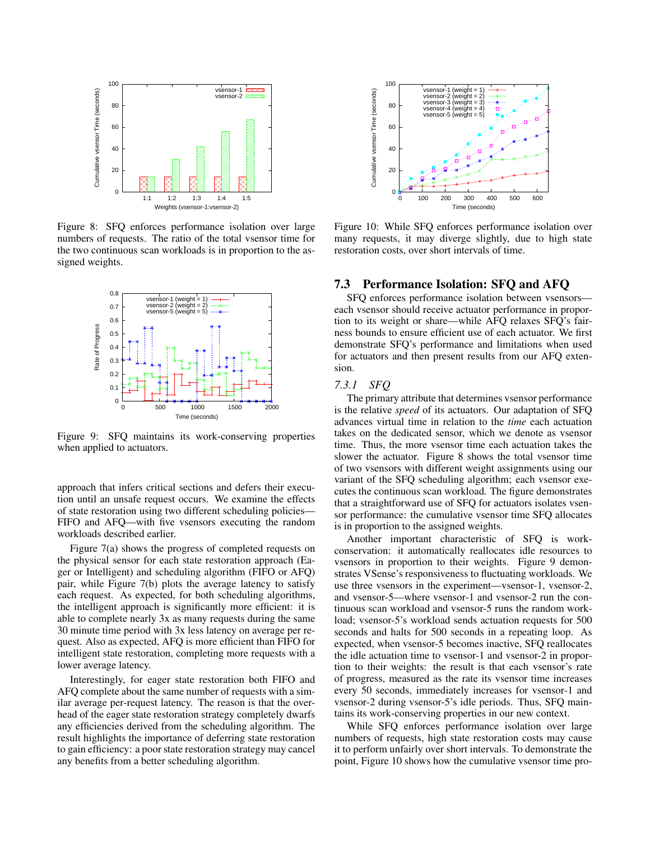

Figure 8: SFQ enforces performance isolation over large numbers of requests. The ratio of the total vsensor time for the two continuous scan workloads is in proportion to the assigned weights.



Figure 9: SFQ maintains its work-conserving properties when applied to actuators.

approach that infers critical sections and defers their execution until an unsafe request occurs. We examine the effects of state restoration using two different scheduling policies— FIFO and AFQ—with five vsensors executing the random workloads described earlier.

Figure 7(a) shows the progress of completed requests on the physical sensor for each state restoration approach (Eager or Intelligent) and scheduling algorithm (FIFO or AFQ) pair, while Figure 7(b) plots the average latency to satisfy each request. As expected, for both scheduling algorithms, the intelligent approach is significantly more efficient: it is able to complete nearly 3x as many requests during the same 30 minute time period with 3x less latency on average per request. Also as expected, AFQ is more efficient than FIFO for intelligent state restoration, completing more requests with a lower average latency.

Interestingly, for eager state restoration both FIFO and AFQ complete about the same number of requests with a similar average per-request latency. The reason is that the overhead of the eager state restoration strategy completely dwarfs any efficiencies derived from the scheduling algorithm. The result highlights the importance of deferring state restoration to gain efficiency: a poor state restoration strategy may cancel any benefits from a better scheduling algorithm.



Figure 10: While SFQ enforces performance isolation over many requests, it may diverge slightly, due to high state restoration costs, over short intervals of time.

## 7.3 Performance Isolation: SFQ and AFQ

SFQ enforces performance isolation between vsensors each vsensor should receive actuator performance in proportion to its weight or share—while AFQ relaxes SFQ's fairness bounds to ensure efficient use of each actuator. We first demonstrate SFQ's performance and limitations when used for actuators and then present results from our AFQ extension.

## *7.3.1 SFQ*

The primary attribute that determines vsensor performance is the relative *speed* of its actuators. Our adaptation of SFQ advances virtual time in relation to the *time* each actuation takes on the dedicated sensor, which we denote as vsensor time. Thus, the more vsensor time each actuation takes the slower the actuator. Figure 8 shows the total vsensor time of two vsensors with different weight assignments using our variant of the SFQ scheduling algorithm; each vsensor executes the continuous scan workload. The figure demonstrates that a straightforward use of SFQ for actuators isolates vsensor performance: the cumulative vsensor time SFQ allocates is in proportion to the assigned weights.

Another important characteristic of SFQ is workconservation: it automatically reallocates idle resources to vsensors in proportion to their weights. Figure 9 demonstrates VSense's responsiveness to fluctuating workloads. We use three vsensors in the experiment—vsensor-1, vsensor-2, and vsensor-5—where vsensor-1 and vsensor-2 run the continuous scan workload and vsensor-5 runs the random workload; vsensor-5's workload sends actuation requests for 500 seconds and halts for 500 seconds in a repeating loop. As expected, when vsensor-5 becomes inactive, SFQ reallocates the idle actuation time to vsensor-1 and vsensor-2 in proportion to their weights: the result is that each vsensor's rate of progress, measured as the rate its vsensor time increases every 50 seconds, immediately increases for vsensor-1 and vsensor-2 during vsensor-5's idle periods. Thus, SFQ maintains its work-conserving properties in our new context.

While SFQ enforces performance isolation over large numbers of requests, high state restoration costs may cause it to perform unfairly over short intervals. To demonstrate the point, Figure 10 shows how the cumulative vsensor time pro-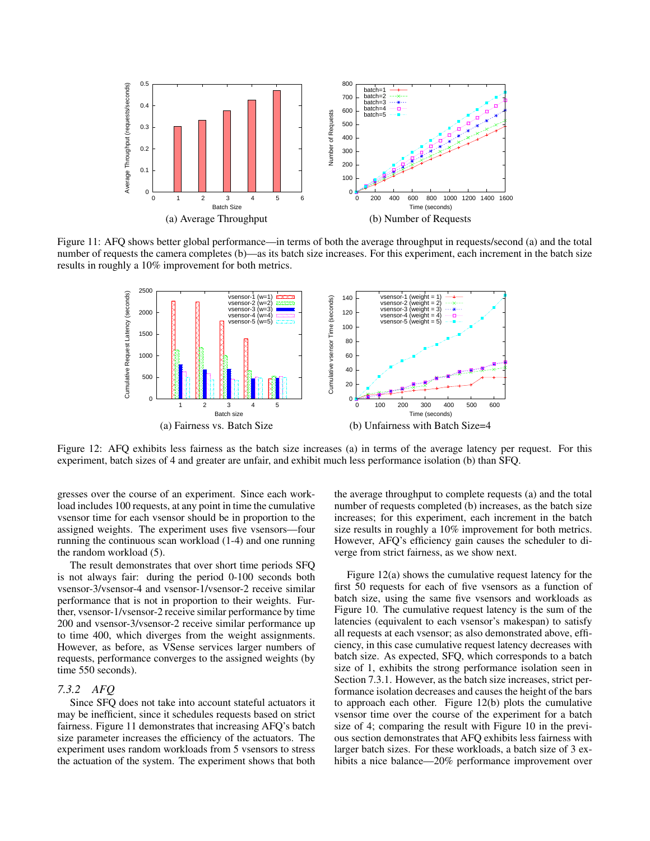

Figure 11: AFQ shows better global performance—in terms of both the average throughput in requests/second (a) and the total number of requests the camera completes (b)—as its batch size increases. For this experiment, each increment in the batch size results in roughly a 10% improvement for both metrics.



Figure 12: AFQ exhibits less fairness as the batch size increases (a) in terms of the average latency per request. For this experiment, batch sizes of 4 and greater are unfair, and exhibit much less performance isolation (b) than SFQ.

gresses over the course of an experiment. Since each workload includes 100 requests, at any point in time the cumulative vsensor time for each vsensor should be in proportion to the assigned weights. The experiment uses five vsensors—four running the continuous scan workload (1-4) and one running the random workload (5).

The result demonstrates that over short time periods SFQ is not always fair: during the period 0-100 seconds both vsensor-3/vsensor-4 and vsensor-1/vsensor-2 receive similar performance that is not in proportion to their weights. Further, vsensor-1/vsensor-2 receive similar performance by time 200 and vsensor-3/vsensor-2 receive similar performance up to time 400, which diverges from the weight assignments. However, as before, as VSense services larger numbers of requests, performance converges to the assigned weights (by time 550 seconds).

#### *7.3.2 AFQ*

Since SFQ does not take into account stateful actuators it may be inefficient, since it schedules requests based on strict fairness. Figure 11 demonstrates that increasing AFQ's batch size parameter increases the efficiency of the actuators. The experiment uses random workloads from 5 vsensors to stress the actuation of the system. The experiment shows that both the average throughput to complete requests (a) and the total number of requests completed (b) increases, as the batch size increases; for this experiment, each increment in the batch size results in roughly a 10% improvement for both metrics. However, AFQ's efficiency gain causes the scheduler to diverge from strict fairness, as we show next.

Figure 12(a) shows the cumulative request latency for the first 50 requests for each of five vsensors as a function of batch size, using the same five vsensors and workloads as Figure 10. The cumulative request latency is the sum of the latencies (equivalent to each vsensor's makespan) to satisfy all requests at each vsensor; as also demonstrated above, efficiency, in this case cumulative request latency decreases with batch size. As expected, SFQ, which corresponds to a batch size of 1, exhibits the strong performance isolation seen in Section 7.3.1. However, as the batch size increases, strict performance isolation decreases and causes the height of the bars to approach each other. Figure 12(b) plots the cumulative vsensor time over the course of the experiment for a batch size of 4; comparing the result with Figure 10 in the previous section demonstrates that AFQ exhibits less fairness with larger batch sizes. For these workloads, a batch size of 3 exhibits a nice balance—20% performance improvement over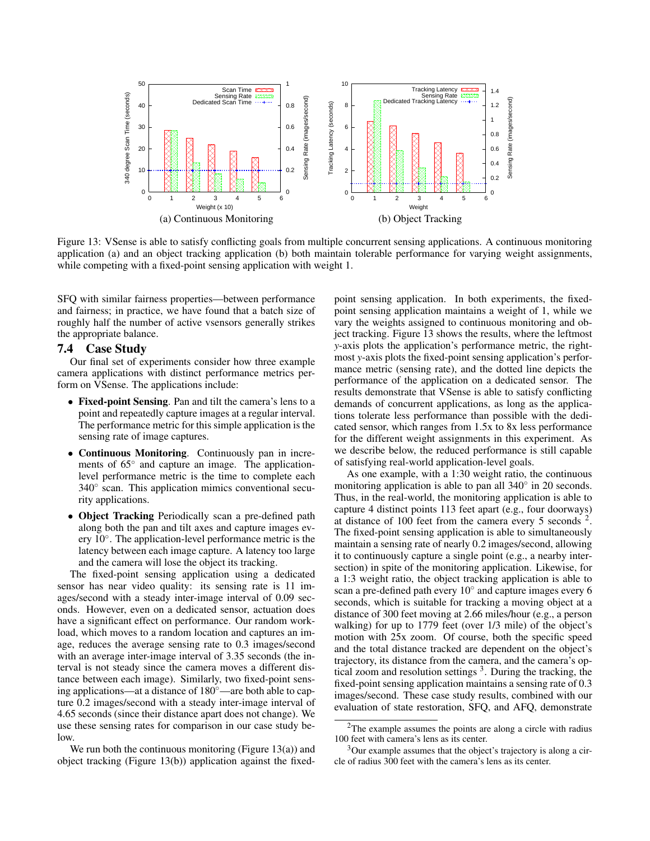

Figure 13: VSense is able to satisfy conflicting goals from multiple concurrent sensing applications. A continuous monitoring application (a) and an object tracking application (b) both maintain tolerable performance for varying weight assignments, while competing with a fixed-point sensing application with weight 1.

SFQ with similar fairness properties—between performance and fairness; in practice, we have found that a batch size of roughly half the number of active vsensors generally strikes the appropriate balance.

## 7.4 Case Study

Our final set of experiments consider how three example camera applications with distinct performance metrics perform on VSense. The applications include:

- Fixed-point Sensing. Pan and tilt the camera's lens to a point and repeatedly capture images at a regular interval. The performance metric for this simple application is the sensing rate of image captures.
- Continuous Monitoring. Continuously pan in increments of 65° and capture an image. The applicationlevel performance metric is the time to complete each 340<sup>°</sup> scan. This application mimics conventional security applications.
- Object Tracking Periodically scan a pre-defined path along both the pan and tilt axes and capture images every 10◦ . The application-level performance metric is the latency between each image capture. A latency too large and the camera will lose the object its tracking.

The fixed-point sensing application using a dedicated sensor has near video quality: its sensing rate is 11 images/second with a steady inter-image interval of 0.09 seconds. However, even on a dedicated sensor, actuation does have a significant effect on performance. Our random workload, which moves to a random location and captures an image, reduces the average sensing rate to 0.3 images/second with an average inter-image interval of 3.35 seconds (the interval is not steady since the camera moves a different distance between each image). Similarly, two fixed-point sensing applications—at a distance of 180◦—are both able to capture 0.2 images/second with a steady inter-image interval of 4.65 seconds (since their distance apart does not change). We use these sensing rates for comparison in our case study below.

We run both the continuous monitoring (Figure  $13(a)$ ) and object tracking (Figure 13(b)) application against the fixedpoint sensing application. In both experiments, the fixedpoint sensing application maintains a weight of 1, while we vary the weights assigned to continuous monitoring and object tracking. Figure 13 shows the results, where the leftmost *y*-axis plots the application's performance metric, the rightmost *y*-axis plots the fixed-point sensing application's performance metric (sensing rate), and the dotted line depicts the performance of the application on a dedicated sensor. The results demonstrate that VSense is able to satisfy conflicting demands of concurrent applications, as long as the applications tolerate less performance than possible with the dedicated sensor, which ranges from 1.5x to 8x less performance for the different weight assignments in this experiment. As we describe below, the reduced performance is still capable of satisfying real-world application-level goals.

As one example, with a 1:30 weight ratio, the continuous monitoring application is able to pan all 340° in 20 seconds. Thus, in the real-world, the monitoring application is able to capture 4 distinct points 113 feet apart (e.g., four doorways) at distance of  $100$  feet from the camera every 5 seconds  $2$ . The fixed-point sensing application is able to simultaneously maintain a sensing rate of nearly 0.2 images/second, allowing it to continuously capture a single point (e.g., a nearby intersection) in spite of the monitoring application. Likewise, for a 1:3 weight ratio, the object tracking application is able to scan a pre-defined path every 10° and capture images every 6 seconds, which is suitable for tracking a moving object at a distance of 300 feet moving at 2.66 miles/hour (e.g., a person walking) for up to 1779 feet (over 1/3 mile) of the object's motion with 25x zoom. Of course, both the specific speed and the total distance tracked are dependent on the object's trajectory, its distance from the camera, and the camera's optical zoom and resolution settings  $3$ . During the tracking, the fixed-point sensing application maintains a sensing rate of 0.3 images/second. These case study results, combined with our evaluation of state restoration, SFQ, and AFQ, demonstrate

 $2$ The example assumes the points are along a circle with radius 100 feet with camera's lens as its center.

<sup>&</sup>lt;sup>3</sup>Our example assumes that the object's trajectory is along a circle of radius 300 feet with the camera's lens as its center.